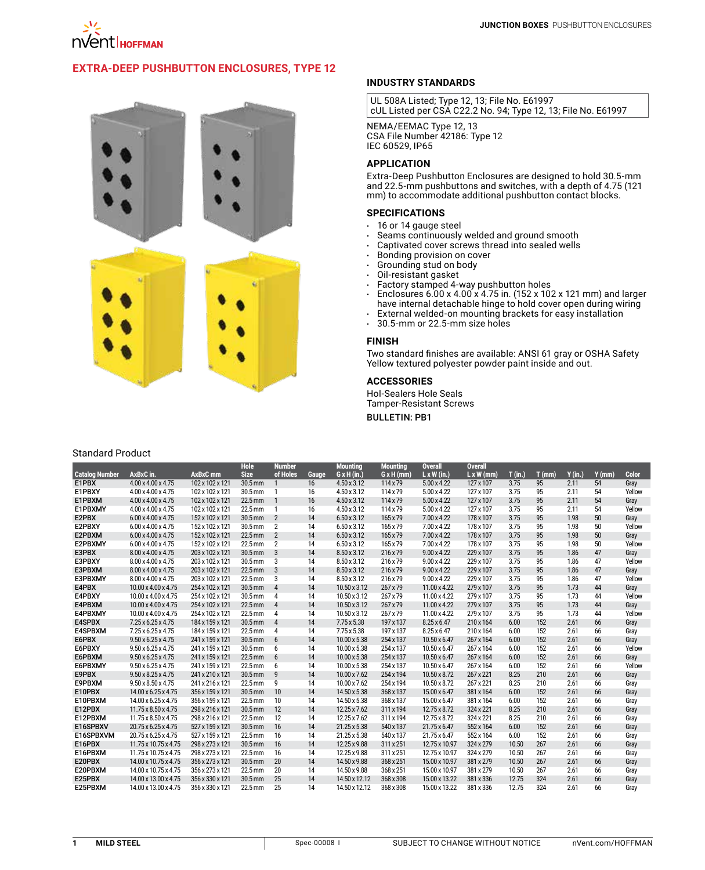

# **[Extra-Deep Pushbutton Enclosures, Type 12](http://hoffman.nvent.com/en/hoffman/Extra-Deep-30-mm-and-22-mm-Pushbutton-Enclosures-Type-12)**



### **INDUSTRY STANDARDS**

UL 508A Listed; Type 12, 13; File No. E61997 cUL Listed per CSA C22.2 No. 94; Type 12, 13; File No. E61997

NEMA/EEMAC Type 12, 13 CSA File Number 42186: Type 12 IEC 60529, IP65

## **APPLICATION**

Extra-Deep Pushbutton Enclosures are designed to hold 30.5-mm and 22.5-mm pushbuttons and switches, with a depth of 4.75 (121 mm) to accommodate additional pushbutton contact blocks.

## **SPECIFICATIONS**

- $\cdot$  16 or 14 gauge steel
- $\,\cdot\,\,$  Seams continuously welded and ground smooth
- $\cdot$  Captivated cover screws thread into sealed wells
- • Bonding provision on cover
- Grounding stud on body
- Oil-resistant gasket<br>• Factory stamped 4-
- Factory stamped 4-way pushbutton holes
- $\cdot$  Enclosures 6.00 x 4.00 x 4.75 in. (152 x 102 x 121 mm) and larger have internal detachable hinge to hold cover open during wiring
- External welded-on mounting brackets for easy installation
- $\cdot$  30.5-mm or 22.5-mm size holes

### **FINISH**

Two standard finishes are available: ANSI 61 gray or OSHA Safety Yellow textured polyester powder paint inside and out.

#### **ACCESSORIES**

Hol-Sealers Hole Seals Tamper-Resistant Screws

Bulletin: PB1

### Standard Product

|                       |                                 |                     | <b>Hole</b> | <b>Number</b>  |       | <b>Mounting</b>    | <b>Mounting</b>   | <b>Overall</b>      | <b>Overall</b>    |           |       |           |          |              |
|-----------------------|---------------------------------|---------------------|-------------|----------------|-------|--------------------|-------------------|---------------------|-------------------|-----------|-------|-----------|----------|--------------|
| <b>Catalog Number</b> | AxBxC in.                       | AxBxC <sub>mm</sub> | <b>Size</b> | of Holes       | Gauge | $G \times H (in.)$ | $G \times H$ (mm) | $L \times W$ (in.)  | $L \times W$ (mm) | $T$ (in.) | I(mm) | $Y$ (in.) | $Y$ (mm) | <b>Color</b> |
| E1PBX                 | 4.00 x 4.00 x 4.75              | 102 x 102 x 121     | 30.5 mm     | $\mathbf{1}$   | 16    | 4.50 x 3.12        | 114 x 79          | $5.00 \times 4.22$  | 127 x 107         | 3.75      | 95    | 2.11      | 54       | Gray         |
| E1PBXY                | 4.00 x 4.00 x 4.75              | 102 x 102 x 121     | 30.5 mm     | $\mathbf{1}$   | 16    | 4.50 x 3.12        | 114 x 79          | 5.00 x 4.22         | 127 x 107         | 3.75      | 95    | 2.11      | 54       | Yellow       |
| E1PBXM                | 4.00 x 4.00 x 4.75              | 102 x 102 x 121     | 22.5 mm     | $\mathbf{1}$   | 16    | 4.50 x 3.12        | 114 x 79          | 5.00 x 4.22         | 127 x 107         | 3.75      | 95    | 2.11      | 54       | Gray         |
| E1PBXMY               | 4.00 x 4.00 x 4.75              | 102 x 102 x 121     | 22.5 mm     | $\mathbf{1}$   | 16    | 4.50 x 3.12        | 114 x 79          | 5.00 x 4.22         | 127 x 107         | 3.75      | 95    | 2.11      | 54       | Yellow       |
| E2PBX                 | $6.00 \times 4.00 \times 4.75$  | 152 x 102 x 121     | 30.5 mm     | $\overline{2}$ | 14    | $6.50 \times 3.12$ | 165 x 79          | $7.00 \times 4.22$  | 178 x 107         | 3.75      | 95    | 1.98      | 50       | Gray         |
| E2PBXY                | $6.00 \times 4.00 \times 4.75$  | 152 x 102 x 121     | 30.5 mm     | $\overline{2}$ | 14    | $6.50 \times 3.12$ | 165 x 79          | 7.00 x 4.22         | 178 x 107         | 3.75      | 95    | 1.98      | 50       | Yellow       |
| E2PBXM                | $6.00 \times 4.00 \times 4.75$  | 152 x 102 x 121     | 22.5 mm     | $\overline{2}$ | 14    | $6.50 \times 3.12$ | 165 x 79          | $7.00 \times 4.22$  | 178 x 107         | 3.75      | 95    | 1.98      | 50       | Gray         |
| E2PBXMY               | $6.00 \times 4.00 \times 4.75$  | 152 x 102 x 121     | 22.5 mm     | $\overline{2}$ | 14    | 6.50 x 3.12        | 165 x 79          | 7.00 x 4.22         | 178 x 107         | 3.75      | 95    | 1.98      | 50       | Yellow       |
| E3PBX                 | 8.00 x 4.00 x 4.75              | 203 x 102 x 121     | 30.5 mm     | 3              | 14    | 8.50 x 3.12        | 216 x 79          | $9.00 \times 4.22$  | 229 x 107         | 3.75      | 95    | 1.86      | 47       | Gray         |
| E3PBXY                | 8.00 x 4.00 x 4.75              | 203 x 102 x 121     | 30.5 mm     | 3              | 14    | 8.50 x 3.12        | 216 x 79          | $9.00 \times 4.22$  | 229 x 107         | 3.75      | 95    | 1.86      | 47       | Yellow       |
| E3PBXM                | 8.00 x 4.00 x 4.75              | 203 x 102 x 121     | 22.5 mm     | 3              | 14    | 8.50 x 3.12        | 216 x 79          | $9.00 \times 4.22$  | 229 x 107         | 3.75      | 95    | 1.86      | 47       | Gray         |
| E3PBXMY               | 8.00 x 4.00 x 4.75              | 203 x 102 x 121     | 22.5 mm     | 3              | 14    | 8.50 x 3.12        | 216 x 79          | $9.00 \times 4.22$  | 229 x 107         | 3.75      | 95    | 1.86      | 47       | Yellow       |
| E4PBX                 | 10.00 x 4.00 x 4.75             | 254 x 102 x 121     | 30.5 mm     | $\overline{4}$ | 14    | 10.50 x 3.12       | 267 x 79          | 11.00 x 4.22        | 279 x 107         | 3.75      | 95    | 1.73      | 44       | Gray         |
| E4PBXY                | 10.00 x 4.00 x 4.75             | 254 x 102 x 121     | 30.5 mm     | 4              | 14    | 10.50 x 3.12       | 267 x 79          | 11.00 x 4.22        | 279 x 107         | 3.75      | 95    | 1.73      | 44       | Yellow       |
| E4PBXM                | 10.00 x 4.00 x 4.75             | 254 x 102 x 121     | 22.5 mm     | $\overline{4}$ | 14    | 10.50 x 3.12       | 267 x 79          | 11.00 x 4.22        | 279 x 107         | 3.75      | 95    | 1.73      | 44       | Gray         |
| E4PBXMY               | 10.00 x 4.00 x 4.75             | 254 x 102 x 121     | 22.5 mm     | 4              | 14    | 10.50 x 3.12       | 267 x 79          | 11.00 x 4.22        | 279 x 107         | 3.75      | 95    | 1.73      | 44       | Yellow       |
| E4SPBX                | 7.25 x 6.25 x 4.75              | 184 x 159 x 121     | 30.5 mm     | $\overline{4}$ | 14    | $7.75 \times 5.38$ | 197 x 137         | $8.25 \times 6.47$  | 210 x 164         | 6.00      | 152   | 2.61      | 66       | Gray         |
| E4SPBXM               | 7.25 x 6.25 x 4.75              | 184 x 159 x 121     | 22.5 mm     | 4              | 14    | 7.75 x 5.38        | 197 x 137         | $8.25 \times 6.47$  | 210 x 164         | 6.00      | 152   | 2.61      | 66       | Gray         |
| E6PBX                 | 9.50 x 6.25 x 4.75              | 241 x 159 x 121     | 30.5 mm     | 6              | 14    | 10.00 x 5.38       | 254 x 137         | $10.50 \times 6.47$ | 267 x 164         | 6.00      | 152   | 2.61      | 66       | Gray         |
| E6PBXY                | $9.50 \times 6.25 \times 4.75$  | 241 x 159 x 121     | 30.5 mm     | 6              | 14    | 10.00 x 5.38       | 254 x 137         | $10.50 \times 6.47$ | 267 x 164         | 6.00      | 152   | 2.61      | 66       | Yellow       |
| E6PBXM                | $9.50 \times 6.25 \times 4.75$  | 241 x 159 x 121     | 22.5 mm     | 6              | 14    | 10.00 x 5.38       | 254 x 137         | $10.50 \times 6.47$ | 267 x 164         | 6.00      | 152   | 2.61      | 66       | Gray         |
| E6PBXMY               | $9.50 \times 6.25 \times 4.75$  | 241 x 159 x 121     | 22.5 mm     | 6              | 14    | 10.00 x 5.38       | 254 x 137         | $10.50 \times 6.47$ | 267 x 164         | 6.00      | 152   | 2.61      | 66       | Yellow       |
| E9PBX                 | $9.50 \times 8.25 \times 4.75$  | 241 x 210 x 121     | 30.5 mm     | 9              | 14    | 10.00 x 7.62       | 254 x 194         | 10.50 x 8.72        | 267 x 221         | 8.25      | 210   | 2.61      | 66       | Gray         |
| E9PBXM                | $9.50 \times 8.50 \times 4.75$  | 241 x 216 x 121     | 22.5 mm     | 9              | 14    | 10.00 x 7.62       | 254 x 194         | 10.50 x 8.72        | 267 x 221         | 8.25      | 210   | 2.61      | 66       | Gray         |
| E10PBX                | 14.00 x 6.25 x 4.75             | 356 x 159 x 121     | 30.5 mm     | 10             | 14    | 14.50 x 5.38       | 368 x 137         | 15.00 x 6.47        | 381 x 164         | 6.00      | 152   | 2.61      | 66       | Gray         |
| E10PBXM               | 14.00 x 6.25 x 4.75             | 356 x 159 x 121     | 22.5 mm     | 10             | 14    | 14.50 x 5.38       | 368 x 137         | 15.00 x 6.47        | 381 x 164         | 6.00      | 152   | 2.61      | 66       | Gray         |
| E12PBX                | $11.75 \times 8.50 \times 4.75$ | 298 x 216 x 121     | 30.5 mm     | 12             | 14    | 12.25 x 7.62       | 311 x 194         | 12.75 x 8.72        | 324 x 221         | 8.25      | 210   | 2.61      | 66       | Gray         |
| E12PBXM               | 11.75 x 8.50 x 4.75             | 298 x 216 x 121     | 22.5 mm     | 12             | 14    | 12.25 x 7.62       | 311 x 194         | 12.75 x 8.72        | 324 x 221         | 8.25      | 210   | 2.61      | 66       | Gray         |
| E16SPBXV              | 20.75 x 6.25 x 4.75             | 527 x 159 x 121     | 30.5 mm     | 16             | 14    | 21.25 x 5.38       | 540 x 137         | 21.75 x 6.47        | 552 x 164         | 6.00      | 152   | 2.61      | 66       | Gray         |
| E16SPBXVM             | 20.75 x 6.25 x 4.75             | 527 x 159 x 121     | 22.5 mm     | 16             | 14    | 21.25 x 5.38       | 540 x 137         | 21.75 x 6.47        | 552 x 164         | 6.00      | 152   | 2.61      | 66       | Gray         |
| E16PBX                | 11.75 x 10.75 x 4.75            | 298 x 273 x 121     | 30.5 mm     | 16             | 14    | 12.25 x 9.88       | 311 x 251         | 12.75 x 10.97       | 324 x 279         | 10.50     | 267   | 2.61      | 66       | Gray         |
| E16PBXM               | 11.75 x 10.75 x 4.75            | 298 x 273 x 121     | 22.5 mm     | 16             | 14    | 12.25 x 9.88       | 311 x 251         | 12.75 x 10.97       | 324 x 279         | 10.50     | 267   | 2.61      | 66       | Gray         |
| E20PBX                | 14.00 x 10.75 x 4.75            | 356 x 273 x 121     | 30.5 mm     | 20             | 14    | 14.50 x 9.88       | 368 x 251         | 15.00 x 10.97       | 381 x 279         | 10.50     | 267   | 2.61      | 66       | Gray         |
| E20PBXM               | 14.00 x 10.75 x 4.75            | 356 x 273 x 121     | 22.5 mm     | 20             | 14    | 14.50 x 9.88       | 368 x 251         | 15.00 x 10.97       | 381 x 279         | 10.50     | 267   | 2.61      | 66       | Gray         |
| E25PBX                | 14.00 x 13.00 x 4.75            | 356 x 330 x 121     | 30.5 mm     | 25             | 14    | 14.50 x 12.12      | 368 x 308         | 15.00 x 13.22       | 381 x 336         | 12.75     | 324   | 2.61      | 66       | Gray         |
| E25PBXM               | 14.00 x 13.00 x 4.75            | 356 x 330 x 121     | 22.5 mm     | 25             | 14    | 14.50 x 12.12      | 368 x 308         | 15.00 x 13.22       | 381 x 336         | 12.75     | 324   | 2.61      | 66       | Gray         |